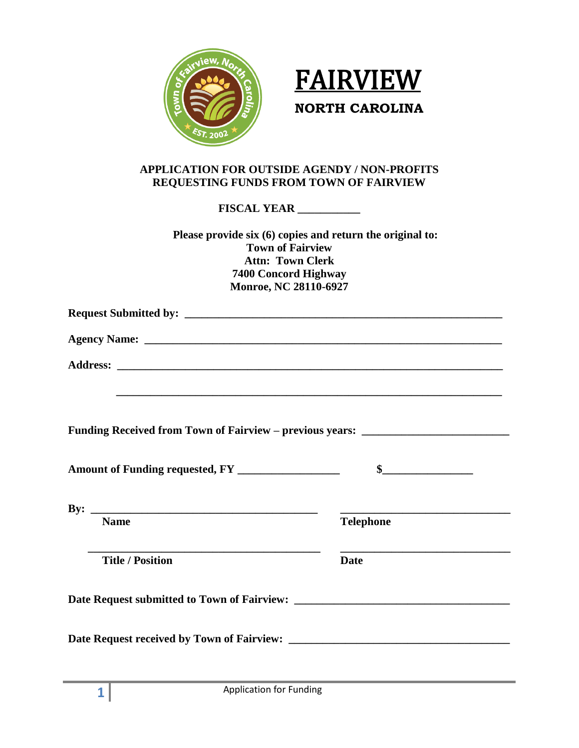



## **APPLICATION FOR OUTSIDE AGENDY / NON-PROFITS REQUESTING FUNDS FROM TOWN OF FAIRVIEW**

**FISCAL YEAR \_\_\_\_\_\_\_\_\_\_\_**

| Please provide six (6) copies and return the original to:<br><b>Town of Fairview</b><br><b>Attn: Town Clerk</b><br><b>7400 Concord Highway</b><br>Monroe, NC 28110-6927                                                        |                  |
|--------------------------------------------------------------------------------------------------------------------------------------------------------------------------------------------------------------------------------|------------------|
|                                                                                                                                                                                                                                |                  |
| Agency Name: 1988. The Contract of the Contract of the Contract of the Contract of the Contract of the Contract of the Contract of the Contract of the Contract of the Contract of the Contract of the Contract of the Contrac |                  |
|                                                                                                                                                                                                                                |                  |
| Funding Received from Town of Fairview – previous years: _______________________<br>Amount of Funding requested, FY ___________________                                                                                        | $\sim$           |
| <b>Name</b>                                                                                                                                                                                                                    | <b>Telephone</b> |
| <u> 1989 - Johann Barbara, martin amerikan basar dan berasal dalam basar dalam basar dalam basar dalam basar dala</u><br><b>Title / Position</b>                                                                               | <b>Date</b>      |
|                                                                                                                                                                                                                                |                  |
|                                                                                                                                                                                                                                |                  |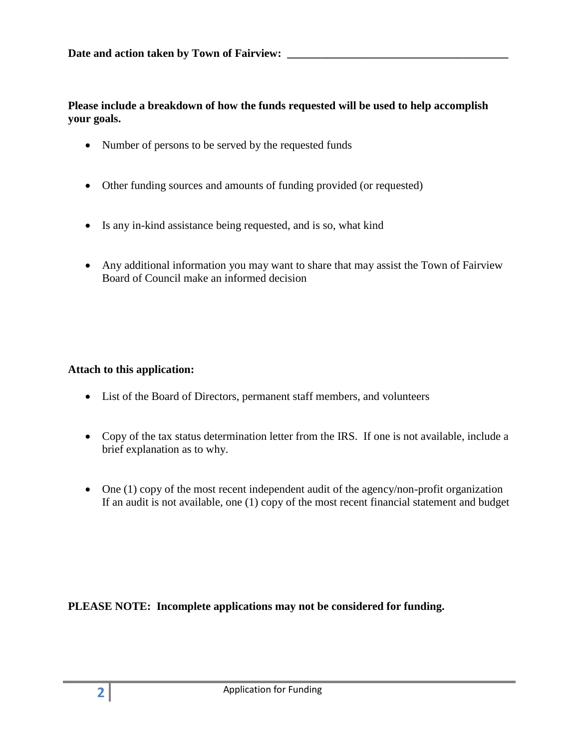**Please include a breakdown of how the funds requested will be used to help accomplish your goals.**

- Number of persons to be served by the requested funds
- Other funding sources and amounts of funding provided (or requested)
- Is any in-kind assistance being requested, and is so, what kind
- Any additional information you may want to share that may assist the Town of Fairview Board of Council make an informed decision

## **Attach to this application:**

- List of the Board of Directors, permanent staff members, and volunteers
- Copy of the tax status determination letter from the IRS. If one is not available, include a brief explanation as to why.
- One (1) copy of the most recent independent audit of the agency/non-profit organization If an audit is not available, one (1) copy of the most recent financial statement and budget

**PLEASE NOTE: Incomplete applications may not be considered for funding.**